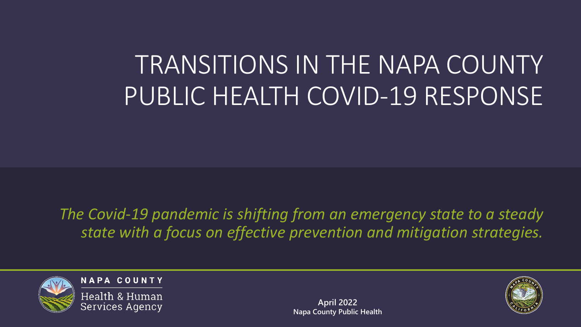# TRANSITIONS IN THE NAPA COUNTY PUBLIC HEALTH COVID-19 RESPONSE

*The Covid-19 pandemic is shifting from an emergency state to a steady state with a focus on effective prevention and mitigation strategies.*



**NAPA COUNTY** 

Health & Human **Services Agency** 

**April 2022 Napa County Public Health**

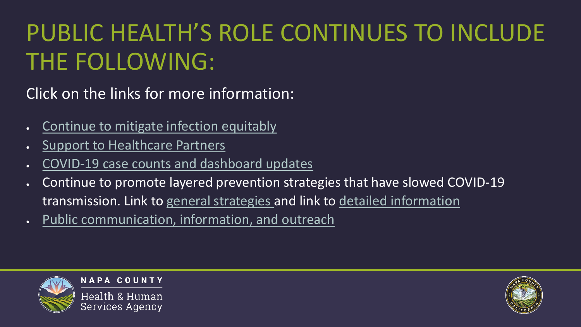#### <span id="page-1-0"></span>PUBLIC HEALTH'S ROLE CONTINUES TO INCLUDE THE FOLLOWING:

Click on the links for more information:

- [Continue to mitigate infection equitably](#page-2-0)
- [Support to Healthcare Partners](#page-3-0)
- [COVID-19 case counts and dashboard updates](#page-4-0)
- Continue to promote layered prevention strategies that have slowed COVID-19 transmission. Link to [general strategies a](#page-5-0)nd link to [detailed information](#page-6-0)
- [Public communication, information, and outreach](#page-8-0)



**NAPA COUNTY** 

Health & Human Services Agency

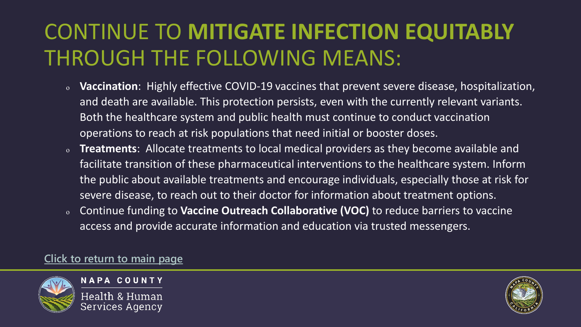#### <span id="page-2-0"></span>CONTINUE TO **MITIGATE INFECTION EQUITABLY** THROUGH THE FOLLOWING MEANS:

- <sup>o</sup> **Vaccination**: Highly effective COVID-19 vaccines that prevent severe disease, hospitalization, and death are available. This protection persists, even with the currently relevant variants. Both the healthcare system and public health must continue to conduct vaccination operations to reach at risk populations that need initial or booster doses.
- <sup>o</sup> **Treatments**: Allocate treatments to local medical providers as they become available and facilitate transition of these pharmaceutical interventions to the healthcare system. Inform the public about available treatments and encourage individuals, especially those at risk for severe disease, to reach out to their doctor for information about treatment options.
- <sup>o</sup> Continue funding to **Vaccine Outreach Collaborative (VOC)** to reduce barriers to vaccine access and provide accurate information and education via trusted messengers.

#### **Click to [return to main page](#page-1-0)**



**NAPA COUNTY** Health & Human

Services Agency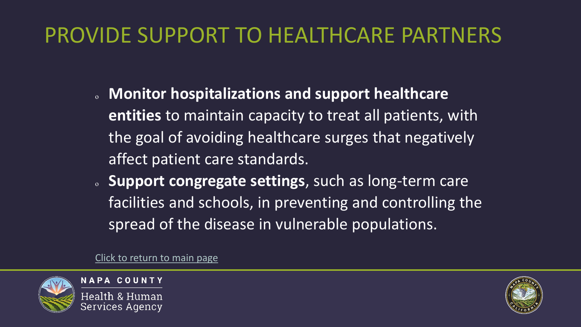#### <span id="page-3-0"></span>PROVIDE SUPPORT TO HEALTHCARE PARTNERS

- <sup>o</sup> **Monitor hospitalizations and support healthcare entities** to maintain capacity to treat all patients, with the goal of avoiding healthcare surges that negatively affect patient care standards.
- <sup>o</sup> **Support congregate settings**, such as long-term care facilities and schools, in preventing and controlling the spread of the disease in vulnerable populations.

[Click to return to main page](#page-1-0)



**NAPA COUNTY** Health & Human Services Agency

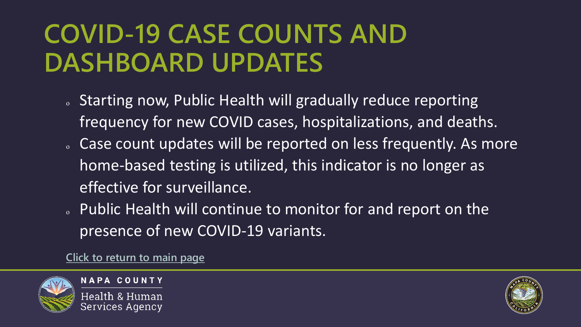### <span id="page-4-0"></span>**COVID-19 CASE COUNTS AND DASHBOARD UPDATES**

- o Starting now, Public Health will gradually reduce reporting frequency for new COVID cases, hospitalizations, and deaths.
- o Case count updates will be reported on less frequently. As more home-based testing is utilized, this indicator is no longer as effective for surveillance.
- o Public Health will continue to monitor for and report on the presence of new COVID-19 variants.

**[Click to return to main page](#page-1-0)**



**NAPA COUNTY** Health & Human Services Agency

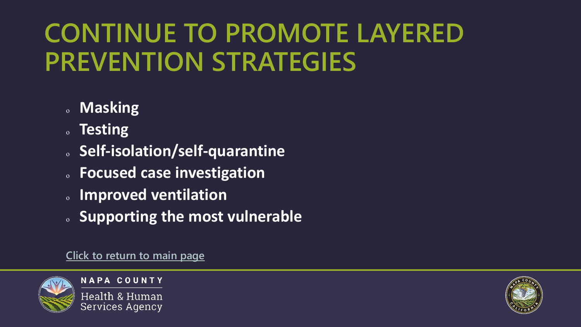# <span id="page-5-0"></span>**CONTINUE TO PROMOTE LAYERED PREVENTION STRATEGIES**

- <sup>o</sup> **Masking**
- <sup>o</sup> **Testing**
- <sup>o</sup> **Self-isolation/self-quarantine**
- <sup>o</sup> **Focused case investigation**
- <sup>o</sup> **Improved ventilation**
- <sup>o</sup> **Supporting the most vulnerable**

**[Click to return to main page](#page-1-0)**



**NAPA COUNTY** 

Health & Human **Services Agency** 

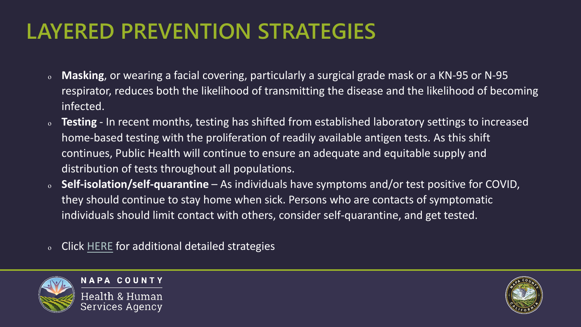#### <span id="page-6-0"></span>**LAYERED PREVENTION STRATEGIES**

- <sup>o</sup> **Masking**, or wearing a facial covering, particularly a surgical grade mask or a KN-95 or N-95 respirator, reduces both the likelihood of transmitting the disease and the likelihood of becoming infected.
- <sup>o</sup> **Testing** In recent months, testing has shifted from established laboratory settings to increased home-based testing with the proliferation of readily available antigen tests. As this shift continues, Public Health will continue to ensure an adequate and equitable supply and distribution of tests throughout all populations.
- <sup>o</sup> **Self-isolation/self-quarantine**  As individuals have symptoms and/or test positive for COVID, they should continue to stay home when sick. Persons who are contacts of symptomatic individuals should limit contact with others, consider self-quarantine, and get tested.
- <sup>o</sup> Click [HERE](#page-7-0) for additional detailed strategies



**NAPA COUNTY** Health & Human

Services Agency

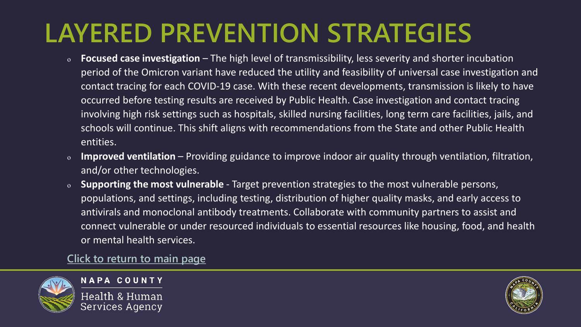### <span id="page-7-0"></span>**LAYERED PREVENTION STRATEGIES**

- <sup>o</sup> **Focused case investigation** The high level of transmissibility, less severity and shorter incubation period of the Omicron variant have reduced the utility and feasibility of universal case investigation and contact tracing for each COVID-19 case. With these recent developments, transmission is likely to have occurred before testing results are received by Public Health. Case investigation and contact tracing involving high risk settings such as hospitals, skilled nursing facilities, long term care facilities, jails, and schools will continue. This shift aligns with recommendations from the State and other Public Health entities.
- <sup>o</sup> **Improved ventilation**  Providing guidance to improve indoor air quality through ventilation, filtration, and/or other technologies.
- <sup>o</sup> **Supporting the most vulnerable** Target prevention strategies to the most vulnerable persons, populations, and settings, including testing, distribution of higher quality masks, and early access to antivirals and monoclonal antibody treatments. Collaborate with community partners to assist and connect vulnerable or under resourced individuals to essential resources like housing, food, and health or mental health services.

**[Click to return to main page](#page-1-0)**



**NAPA COUNTY** 

Health & Human Services Agency